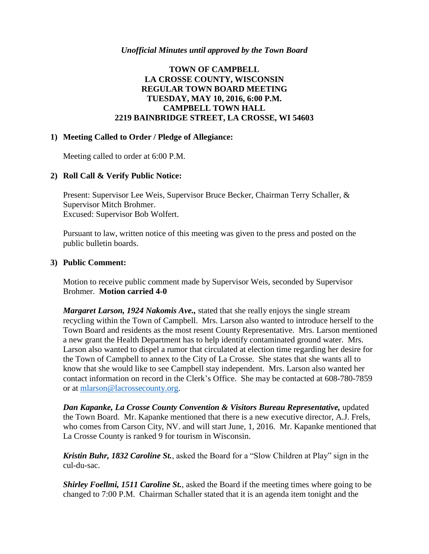### **TOWN OF CAMPBELL LA CROSSE COUNTY, WISCONSIN REGULAR TOWN BOARD MEETING TUESDAY, MAY 10, 2016, 6:00 P.M. CAMPBELL TOWN HALL 2219 BAINBRIDGE STREET, LA CROSSE, WI 54603**

### **1) Meeting Called to Order / Pledge of Allegiance:**

Meeting called to order at 6:00 P.M.

#### **2) Roll Call & Verify Public Notice:**

Present: Supervisor Lee Weis, Supervisor Bruce Becker, Chairman Terry Schaller, & Supervisor Mitch Brohmer. Excused: Supervisor Bob Wolfert.

Pursuant to law, written notice of this meeting was given to the press and posted on the public bulletin boards.

#### **3) Public Comment:**

Motion to receive public comment made by Supervisor Weis, seconded by Supervisor Brohmer. **Motion carried 4-0**

*Margaret Larson, 1924 Nakomis Ave.,* stated that she really enjoys the single stream recycling within the Town of Campbell. Mrs. Larson also wanted to introduce herself to the Town Board and residents as the most resent County Representative. Mrs. Larson mentioned a new grant the Health Department has to help identify contaminated ground water. Mrs. Larson also wanted to dispel a rumor that circulated at election time regarding her desire for the Town of Campbell to annex to the City of La Crosse. She states that she wants all to know that she would like to see Campbell stay independent. Mrs. Larson also wanted her contact information on record in the Clerk's Office. She may be contacted at 608-780-7859 or at [mlarson@lacrossecounty.org.](mailto:mlarson@lacrossecounty.org)

*Dan Kapanke, La Crosse County Convention & Visitors Bureau Representative,* updated the Town Board. Mr. Kapanke mentioned that there is a new executive director, A.J. Frels, who comes from Carson City, NV. and will start June, 1, 2016. Mr. Kapanke mentioned that La Crosse County is ranked 9 for tourism in Wisconsin.

*Kristin Buhr, 1832 Caroline St.*, asked the Board for a "Slow Children at Play" sign in the cul-du-sac.

*Shirley Foellmi, 1511 Caroline St.*, asked the Board if the meeting times where going to be changed to 7:00 P.M. Chairman Schaller stated that it is an agenda item tonight and the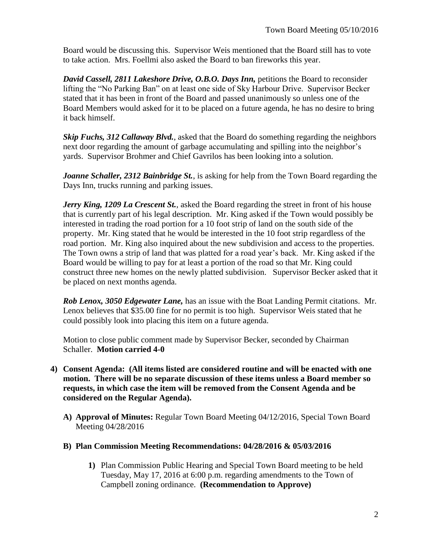Board would be discussing this. Supervisor Weis mentioned that the Board still has to vote to take action. Mrs. Foellmi also asked the Board to ban fireworks this year.

*David Cassell, 2811 Lakeshore Drive, O.B.O. Days Inn,* petitions the Board to reconsider lifting the "No Parking Ban" on at least one side of Sky Harbour Drive. Supervisor Becker stated that it has been in front of the Board and passed unanimously so unless one of the Board Members would asked for it to be placed on a future agenda, he has no desire to bring it back himself.

*Skip Fuchs, 312 Callaway Blvd., asked that the Board do something regarding the neighbors* next door regarding the amount of garbage accumulating and spilling into the neighbor's yards. Supervisor Brohmer and Chief Gavrilos has been looking into a solution.

*Joanne Schaller, 2312 Bainbridge St.*, is asking for help from the Town Board regarding the Days Inn, trucks running and parking issues.

*Jerry King, 1209 La Crescent St.*, asked the Board regarding the street in front of his house that is currently part of his legal description. Mr. King asked if the Town would possibly be interested in trading the road portion for a 10 foot strip of land on the south side of the property. Mr. King stated that he would be interested in the 10 foot strip regardless of the road portion. Mr. King also inquired about the new subdivision and access to the properties. The Town owns a strip of land that was platted for a road year's back. Mr. King asked if the Board would be willing to pay for at least a portion of the road so that Mr. King could construct three new homes on the newly platted subdivision. Supervisor Becker asked that it be placed on next months agenda.

*Rob Lenox, 3050 Edgewater Lane,* has an issue with the Boat Landing Permit citations. Mr. Lenox believes that \$35.00 fine for no permit is too high. Supervisor Weis stated that he could possibly look into placing this item on a future agenda.

Motion to close public comment made by Supervisor Becker, seconded by Chairman Schaller. **Motion carried 4-0**

- **4) Consent Agenda: (All items listed are considered routine and will be enacted with one motion. There will be no separate discussion of these items unless a Board member so requests, in which case the item will be removed from the Consent Agenda and be considered on the Regular Agenda).**
	- **A) Approval of Minutes:** Regular Town Board Meeting 04/12/2016, Special Town Board Meeting 04/28/2016
	- **B) Plan Commission Meeting Recommendations: 04/28/2016 & 05/03/2016**
		- **1)** Plan Commission Public Hearing and Special Town Board meeting to be held Tuesday, May 17, 2016 at 6:00 p.m. regarding amendments to the Town of Campbell zoning ordinance. **(Recommendation to Approve)**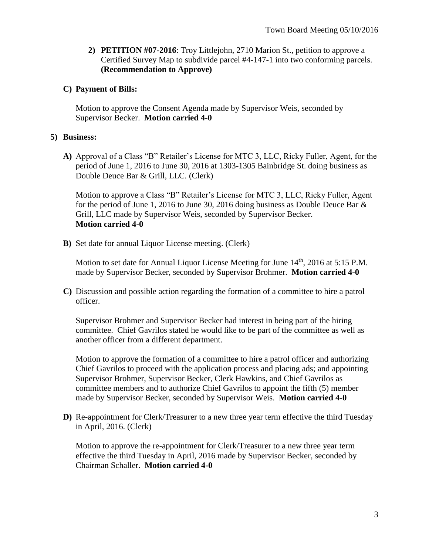**2) PETITION #07-2016**: Troy Littlejohn, 2710 Marion St., petition to approve a Certified Survey Map to subdivide parcel #4-147-1 into two conforming parcels. **(Recommendation to Approve)**

# **C) Payment of Bills:**

Motion to approve the Consent Agenda made by Supervisor Weis, seconded by Supervisor Becker. **Motion carried 4-0**

## **5) Business:**

**A)** Approval of a Class "B" Retailer's License for MTC 3, LLC, Ricky Fuller, Agent, for the period of June 1, 2016 to June 30, 2016 at 1303-1305 Bainbridge St. doing business as Double Deuce Bar & Grill, LLC. (Clerk)

Motion to approve a Class "B" Retailer's License for MTC 3, LLC, Ricky Fuller, Agent for the period of June 1, 2016 to June 30, 2016 doing business as Double Deuce Bar & Grill, LLC made by Supervisor Weis, seconded by Supervisor Becker. **Motion carried 4-0**

**B)** Set date for annual Liquor License meeting. (Clerk)

Motion to set date for Annual Liquor License Meeting for June 14<sup>th</sup>, 2016 at 5:15 P.M. made by Supervisor Becker, seconded by Supervisor Brohmer. **Motion carried 4-0**

**C)** Discussion and possible action regarding the formation of a committee to hire a patrol officer.

Supervisor Brohmer and Supervisor Becker had interest in being part of the hiring committee. Chief Gavrilos stated he would like to be part of the committee as well as another officer from a different department.

Motion to approve the formation of a committee to hire a patrol officer and authorizing Chief Gavrilos to proceed with the application process and placing ads; and appointing Supervisor Brohmer, Supervisor Becker, Clerk Hawkins, and Chief Gavrilos as committee members and to authorize Chief Gavrilos to appoint the fifth (5) member made by Supervisor Becker, seconded by Supervisor Weis. **Motion carried 4-0**

**D)** Re-appointment for Clerk/Treasurer to a new three year term effective the third Tuesday in April, 2016. (Clerk)

Motion to approve the re-appointment for Clerk/Treasurer to a new three year term effective the third Tuesday in April, 2016 made by Supervisor Becker, seconded by Chairman Schaller. **Motion carried 4-0**